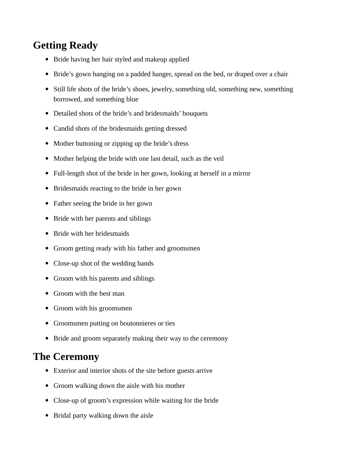## **Getting Ready**

- Bride having her hair styled and makeup applied
- Bride's gown hanging on a padded hanger, spread on the bed, or draped over a chair
- Still life shots of the bride's shoes, jewelry, something old, something new, something borrowed, and something blue
- Detailed shots of the bride's and bridesmaids' bouquets
- Candid shots of the bridesmaids getting dressed
- Mother buttoning or zipping up the bride's dress
- Mother helping the bride with one last detail, such as the veil
- Full-length shot of the bride in her gown, looking at herself in a mirror
- Bridesmaids reacting to the bride in her gown
- Father seeing the bride in her gown
- Bride with her parents and siblings
- Bride with her bridesmaids
- Groom getting ready with his father and groomsmen
- Close-up shot of the wedding bands
- Groom with his parents and siblings
- Groom with the best man
- Groom with his groomsmen
- Groomsmen putting on boutonnieres or ties
- Bride and groom separately making their way to the ceremony

## **The Ceremony**

- Exterior and interior shots of the site before guests arrive
- Groom walking down the aisle with his mother
- Close-up of groom's expression while waiting for the bride
- Bridal party walking down the aisle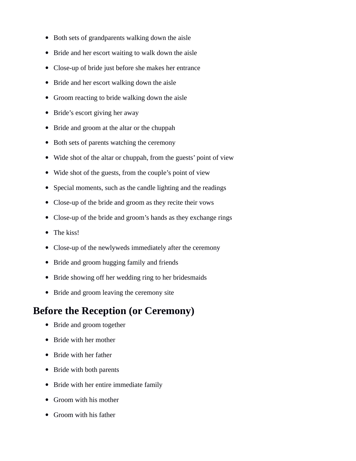- Both sets of grandparents walking down the aisle
- Bride and her escort waiting to walk down the aisle
- Close-up of bride just before she makes her entrance
- Bride and her escort walking down the aisle
- Groom reacting to bride walking down the aisle
- Bride's escort giving her away
- Bride and groom at the altar or the chuppah
- Both sets of parents watching the ceremony
- Wide shot of the altar or chuppah, from the guests' point of view
- Wide shot of the guests, from the couple's point of view
- Special moments, such as the candle lighting and the readings
- Close-up of the bride and groom as they recite their vows
- Close-up of the bride and groom's hands as they exchange rings
- The kiss!
- Close-up of the newlyweds immediately after the ceremony
- Bride and groom hugging family and friends
- Bride showing off her wedding ring to her bridesmaids
- Bride and groom leaving the ceremony site

## **Before the Reception (or Ceremony)**

- Bride and groom together
- Bride with her mother
- Bride with her father
- Bride with both parents
- Bride with her entire immediate family
- Groom with his mother
- Groom with his father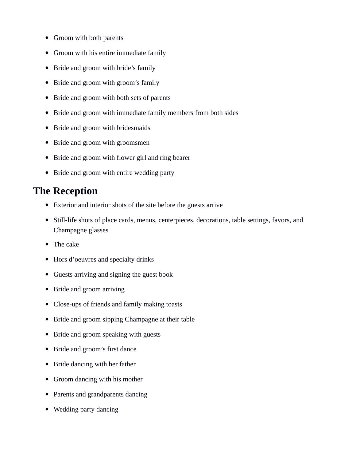- Groom with both parents
- Groom with his entire immediate family
- Bride and groom with bride's family
- Bride and groom with groom's family
- Bride and groom with both sets of parents
- Bride and groom with immediate family members from both sides
- Bride and groom with bridesmaids
- Bride and groom with groomsmen
- Bride and groom with flower girl and ring bearer
- Bride and groom with entire wedding party

## **The Reception**

- Exterior and interior shots of the site before the guests arrive
- Still-life shots of place cards, menus, centerpieces, decorations, table settings, favors, and Champagne glasses
- The cake
- Hors d'oeuvres and specialty drinks
- Guests arriving and signing the guest book
- Bride and groom arriving
- Close-ups of friends and family making toasts
- Bride and groom sipping Champagne at their table
- Bride and groom speaking with guests
- Bride and groom's first dance
- Bride dancing with her father
- Groom dancing with his mother
- Parents and grandparents dancing
- Wedding party dancing